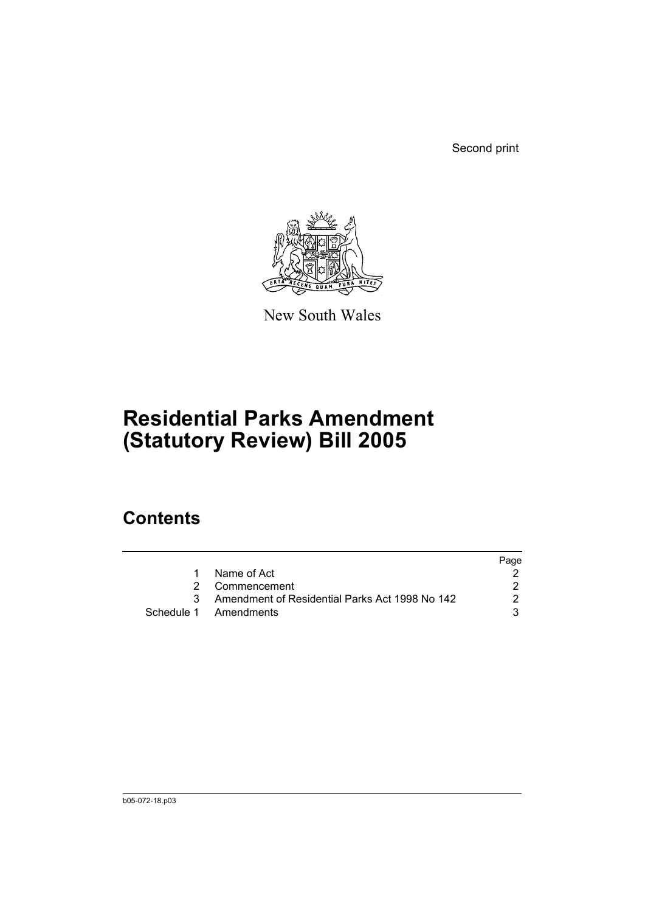Second print



New South Wales

# **Residential Parks Amendment (Statutory Review) Bill 2005**

## **Contents**

|   |                                                  | Page |
|---|--------------------------------------------------|------|
| 1 | Name of Act                                      |      |
|   | 2 Commencement                                   |      |
|   | 3 Amendment of Residential Parks Act 1998 No 142 | 2    |
|   | Schedule 1 Amendments                            | 3    |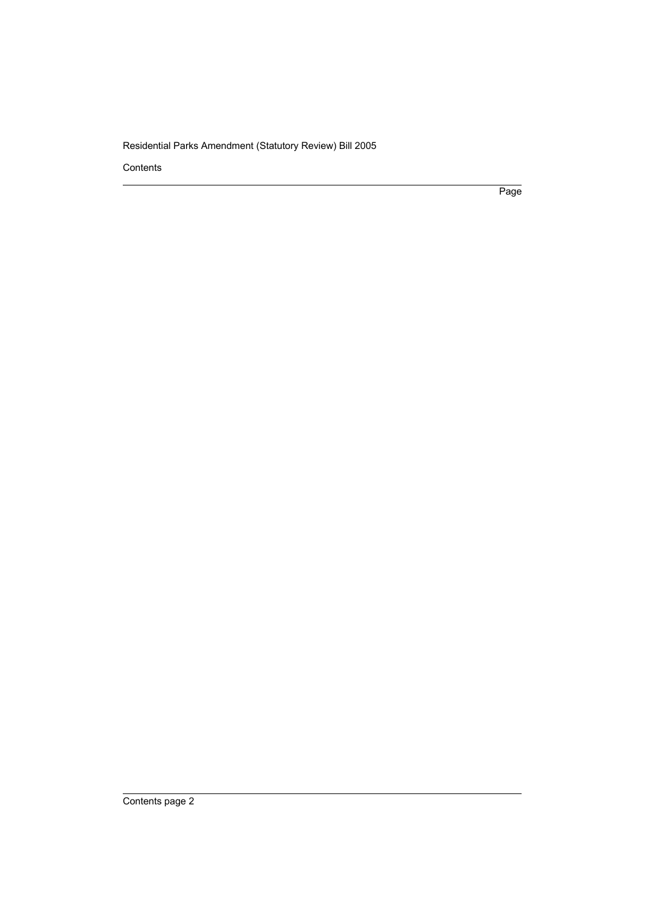Contents

Page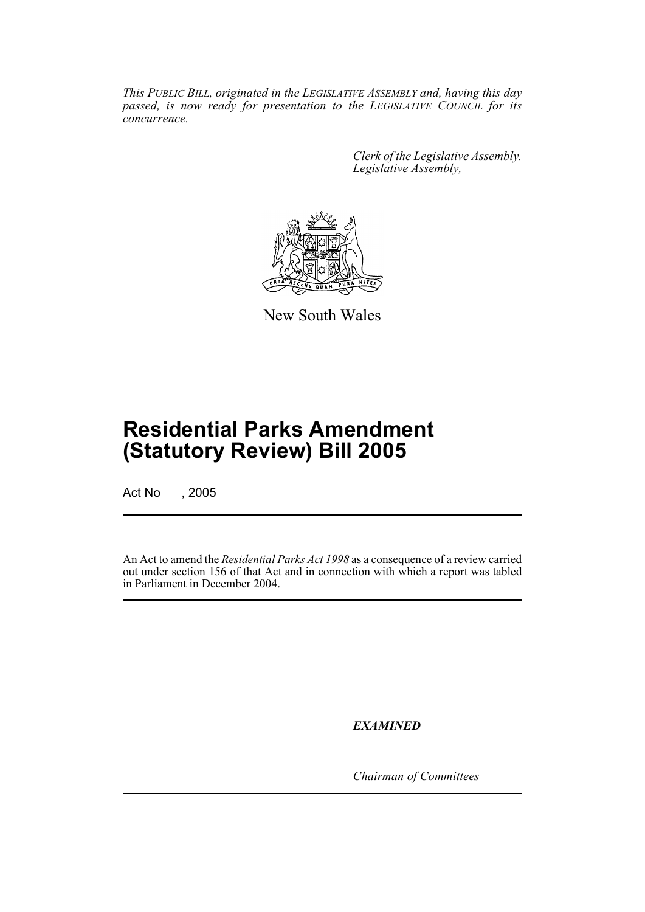*This PUBLIC BILL, originated in the LEGISLATIVE ASSEMBLY and, having this day passed, is now ready for presentation to the LEGISLATIVE COUNCIL for its concurrence.*

> *Clerk of the Legislative Assembly. Legislative Assembly,*



New South Wales

# **Residential Parks Amendment (Statutory Review) Bill 2005**

Act No , 2005

An Act to amend the *Residential Parks Act 1998* as a consequence of a review carried out under section 156 of that Act and in connection with which a report was tabled in Parliament in December 2004.

*EXAMINED*

*Chairman of Committees*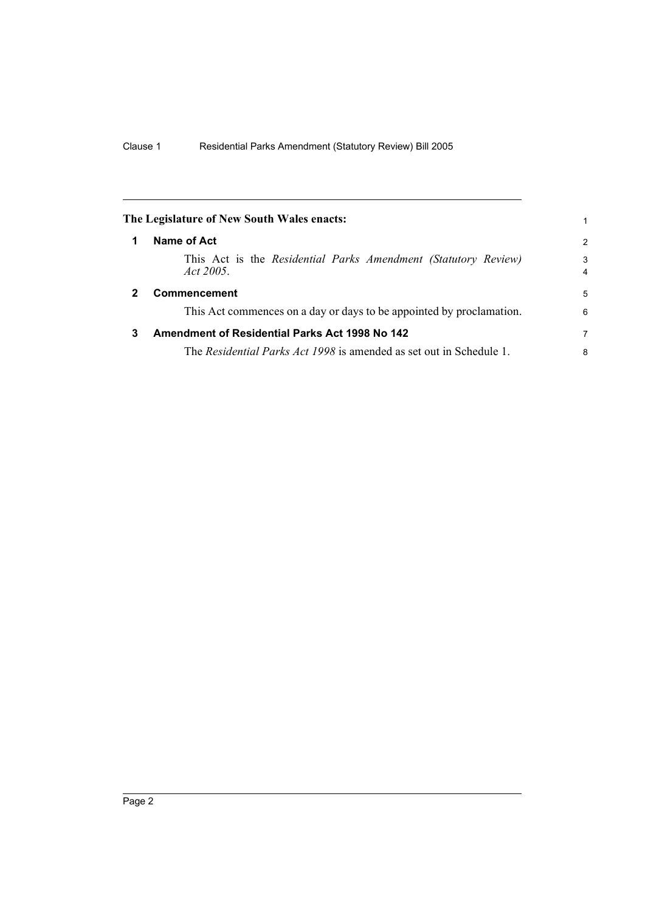<span id="page-3-2"></span><span id="page-3-1"></span><span id="page-3-0"></span>

|             | The Legislature of New South Wales enacts:                                                                                   |                     |
|-------------|------------------------------------------------------------------------------------------------------------------------------|---------------------|
| 1           | Name of Act                                                                                                                  | $\overline{2}$      |
|             | This Act is the Residential Parks Amendment (Statutory Review)<br>Act 2005.                                                  | 3<br>$\overline{4}$ |
| $\mathbf 2$ | <b>Commencement</b><br>This Act commences on a day or days to be appointed by proclamation.                                  | 5<br>6              |
| 3           | <b>Amendment of Residential Parks Act 1998 No 142</b><br>The Residential Parks Act 1998 is amended as set out in Schedule 1. | 7<br>8              |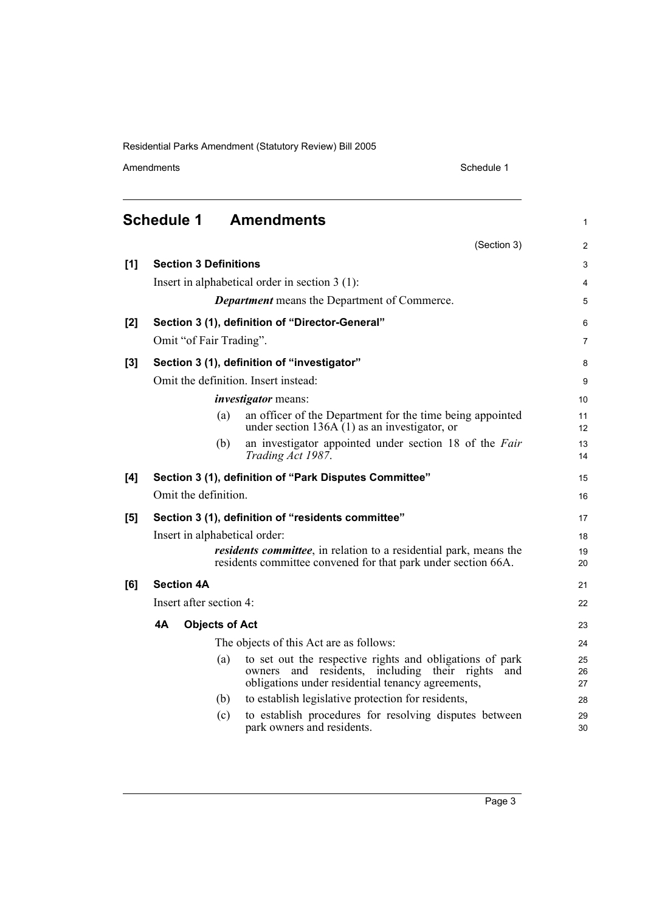Amendments Schedule 1

(Section 3)

1

2

<span id="page-4-0"></span>

| [1]   |    | <b>Section 3 Definitions</b>  |                                                                                                                                                                      | $\mathbf{3}$     |
|-------|----|-------------------------------|----------------------------------------------------------------------------------------------------------------------------------------------------------------------|------------------|
|       |    |                               | Insert in alphabetical order in section $3(1)$ :                                                                                                                     | 4                |
|       |    |                               | <b>Department</b> means the Department of Commerce.                                                                                                                  | 5                |
| [2]   |    |                               | Section 3 (1), definition of "Director-General"                                                                                                                      | 6                |
|       |    | Omit "of Fair Trading".       |                                                                                                                                                                      | $\overline{7}$   |
| $[3]$ |    |                               | Section 3 (1), definition of "investigator"                                                                                                                          | 8                |
|       |    |                               | Omit the definition. Insert instead:                                                                                                                                 | $\boldsymbol{9}$ |
|       |    |                               | <i>investigator</i> means:                                                                                                                                           | 10               |
|       |    | (a)                           | an officer of the Department for the time being appointed<br>under section 136A $(1)$ as an investigator, or                                                         | 11<br>12         |
|       |    | (b)                           | an investigator appointed under section 18 of the Fair<br>Trading Act 1987.                                                                                          | 13<br>14         |
| [4]   |    |                               | Section 3 (1), definition of "Park Disputes Committee"                                                                                                               | 15               |
|       |    | Omit the definition.          |                                                                                                                                                                      | 16               |
| [5]   |    |                               | Section 3 (1), definition of "residents committee"                                                                                                                   | 17               |
|       |    | Insert in alphabetical order: |                                                                                                                                                                      | 18               |
|       |    |                               | <i>residents committee</i> , in relation to a residential park, means the<br>residents committee convened for that park under section 66A.                           | 19<br>20         |
| [6]   |    | <b>Section 4A</b>             |                                                                                                                                                                      | 21               |
|       |    | Insert after section 4:       |                                                                                                                                                                      | 22               |
|       | 4A | <b>Objects of Act</b>         |                                                                                                                                                                      | 23               |
|       |    |                               | The objects of this Act are as follows:                                                                                                                              | 24               |
|       |    | (a)                           | to set out the respective rights and obligations of park<br>owners and residents, including their rights<br>and<br>obligations under residential tenancy agreements, | 25<br>26<br>27   |
|       |    | (b)                           | to establish legislative protection for residents,                                                                                                                   | 28               |
|       |    | (c)                           | to establish procedures for resolving disputes between<br>park owners and residents.                                                                                 | 29<br>30         |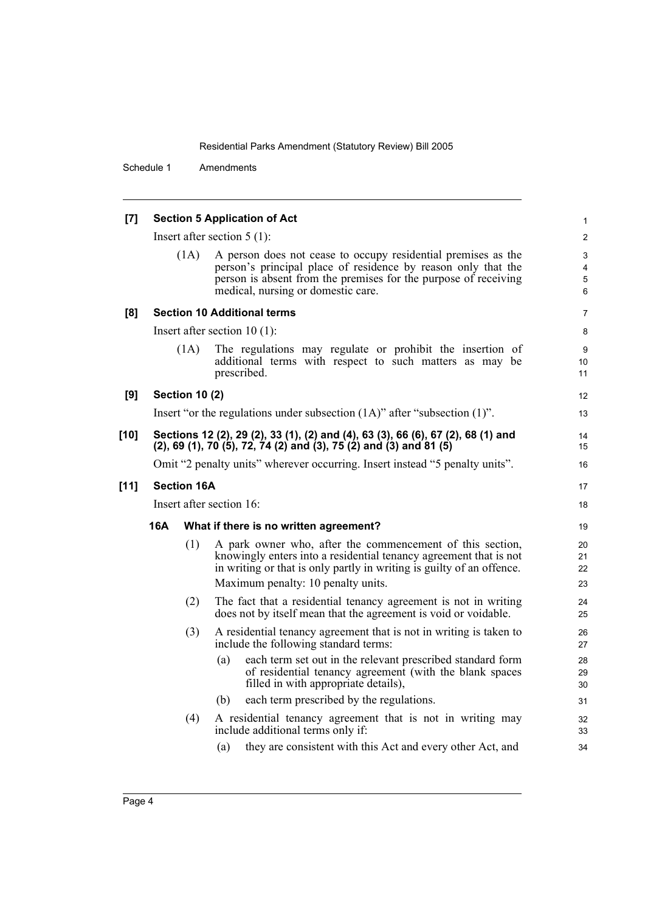| [7]    | <b>Section 5 Application of Act</b> |                       |                                                                                                                                                                                                                                               |                      |  |  |
|--------|-------------------------------------|-----------------------|-----------------------------------------------------------------------------------------------------------------------------------------------------------------------------------------------------------------------------------------------|----------------------|--|--|
|        |                                     |                       | Insert after section $5(1)$ :                                                                                                                                                                                                                 | $\overline{2}$       |  |  |
|        |                                     | (1A)                  | A person does not cease to occupy residential premises as the<br>person's principal place of residence by reason only that the<br>person is absent from the premises for the purpose of receiving<br>medical, nursing or domestic care.       | 3<br>4<br>5<br>6     |  |  |
| [8]    |                                     |                       | <b>Section 10 Additional terms</b>                                                                                                                                                                                                            | $\overline{7}$       |  |  |
|        |                                     |                       | Insert after section $10(1)$ :                                                                                                                                                                                                                | 8                    |  |  |
|        |                                     | (1A)                  | The regulations may regulate or prohibit the insertion of<br>additional terms with respect to such matters as may be<br>prescribed.                                                                                                           | 9<br>10<br>11        |  |  |
| [9]    |                                     | <b>Section 10 (2)</b> |                                                                                                                                                                                                                                               | 12                   |  |  |
|        |                                     |                       | Insert "or the regulations under subsection $(1A)$ " after "subsection $(1)$ ".                                                                                                                                                               | 13                   |  |  |
| $[10]$ |                                     |                       | Sections 12 (2), 29 (2), 33 (1), (2) and (4), 63 (3), 66 (6), 67 (2), 68 (1) and<br>$(2)$ , 69 $(1)$ , 70 $(5)$ , 72, 74 $(2)$ and $(3)$ , 75 $(2)$ and $(3)$ and 81 $(5)$                                                                    | 14<br>15             |  |  |
|        |                                     |                       | Omit "2 penalty units" wherever occurring. Insert instead "5 penalty units".                                                                                                                                                                  | 16                   |  |  |
| $[11]$ | <b>Section 16A</b>                  |                       |                                                                                                                                                                                                                                               |                      |  |  |
|        | Insert after section 16:            |                       |                                                                                                                                                                                                                                               |                      |  |  |
|        | 16A                                 |                       | What if there is no written agreement?                                                                                                                                                                                                        | 19                   |  |  |
|        |                                     | (1)                   | A park owner who, after the commencement of this section,<br>knowingly enters into a residential tenancy agreement that is not<br>in writing or that is only partly in writing is guilty of an offence.<br>Maximum penalty: 10 penalty units. | 20<br>21<br>22<br>23 |  |  |
|        |                                     | (2)                   | The fact that a residential tenancy agreement is not in writing<br>does not by itself mean that the agreement is void or voidable.                                                                                                            | 24<br>25             |  |  |
|        |                                     | (3)                   | A residential tenancy agreement that is not in writing is taken to<br>include the following standard terms:                                                                                                                                   | 26<br>27             |  |  |
|        |                                     |                       | each term set out in the relevant prescribed standard form<br>(a)<br>of residential tenancy agreement (with the blank spaces<br>filled in with appropriate details),                                                                          | 28<br>29<br>30       |  |  |
|        |                                     |                       | each term prescribed by the regulations.<br>(b)                                                                                                                                                                                               | 31                   |  |  |
|        |                                     | (4)                   | A residential tenancy agreement that is not in writing may<br>include additional terms only if:                                                                                                                                               | 32<br>33             |  |  |
|        |                                     |                       | they are consistent with this Act and every other Act, and<br>(a)                                                                                                                                                                             | 34                   |  |  |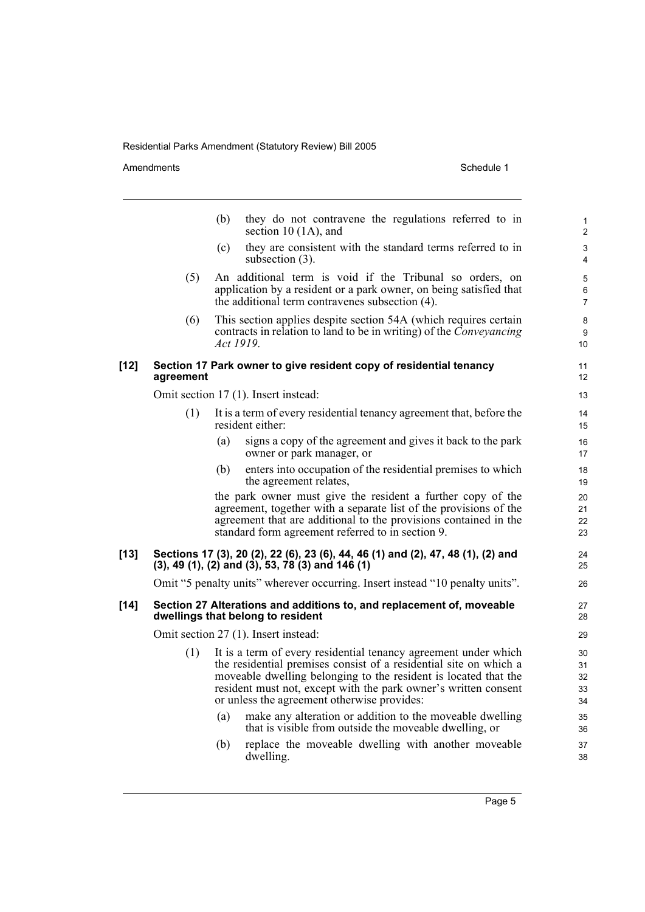Amendments Schedule 1

|        |           | they do not contravene the regulations referred to in<br>(b)<br>section 10 $(1A)$ , and                                                                                                                                                                                                                                   | $\mathbf{1}$<br>2          |
|--------|-----------|---------------------------------------------------------------------------------------------------------------------------------------------------------------------------------------------------------------------------------------------------------------------------------------------------------------------------|----------------------------|
|        |           | they are consistent with the standard terms referred to in<br>(c)<br>subsection $(3)$ .                                                                                                                                                                                                                                   | 3<br>$\overline{4}$        |
|        | (5)       | An additional term is void if the Tribunal so orders, on<br>application by a resident or a park owner, on being satisfied that<br>the additional term contravenes subsection (4).                                                                                                                                         | 5<br>6<br>$\overline{7}$   |
|        | (6)       | This section applies despite section 54A (which requires certain<br>contracts in relation to land to be in writing) of the <i>Conveyancing</i><br>Act 1919.                                                                                                                                                               | 8<br>9<br>10               |
| $[12]$ | agreement | Section 17 Park owner to give resident copy of residential tenancy                                                                                                                                                                                                                                                        | 11<br>12                   |
|        |           | Omit section 17 (1). Insert instead:                                                                                                                                                                                                                                                                                      | 13                         |
|        | (1)       | It is a term of every residential tenancy agreement that, before the<br>resident either:                                                                                                                                                                                                                                  | 14<br>15                   |
|        |           | signs a copy of the agreement and gives it back to the park<br>(a)<br>owner or park manager, or                                                                                                                                                                                                                           | 16<br>17                   |
|        |           | enters into occupation of the residential premises to which<br>(b)<br>the agreement relates,                                                                                                                                                                                                                              | 18<br>19                   |
|        |           | the park owner must give the resident a further copy of the<br>agreement, together with a separate list of the provisions of the<br>agreement that are additional to the provisions contained in the<br>standard form agreement referred to in section 9.                                                                 | 20<br>21<br>22<br>23       |
| $[13]$ |           | Sections 17 (3), 20 (2), 22 (6), 23 (6), 44, 46 (1) and (2), 47, 48 (1), (2) and<br>$(3)$ , 49 $(1)$ , $(2)$ and $(3)$ , 53, 78 $(3)$ and 146 $(1)$                                                                                                                                                                       | 24<br>25                   |
|        |           | Omit "5 penalty units" wherever occurring. Insert instead "10 penalty units".                                                                                                                                                                                                                                             | 26                         |
| $[14]$ |           | Section 27 Alterations and additions to, and replacement of, moveable<br>dwellings that belong to resident                                                                                                                                                                                                                | 27<br>28                   |
|        |           | Omit section 27 (1). Insert instead:                                                                                                                                                                                                                                                                                      | 29                         |
|        | (1)       | It is a term of every residential tenancy agreement under which<br>the residential premises consist of a residential site on which a<br>moveable dwelling belonging to the resident is located that the<br>resident must not, except with the park owner's written consent<br>or unless the agreement otherwise provides: | 30<br>31<br>32<br>33<br>34 |
|        |           | make any alteration or addition to the moveable dwelling<br>(a)<br>that is visible from outside the moveable dwelling, or                                                                                                                                                                                                 | 35<br>36                   |
|        |           | replace the moveable dwelling with another moveable<br>(b)<br>dwelling.                                                                                                                                                                                                                                                   | 37<br>38                   |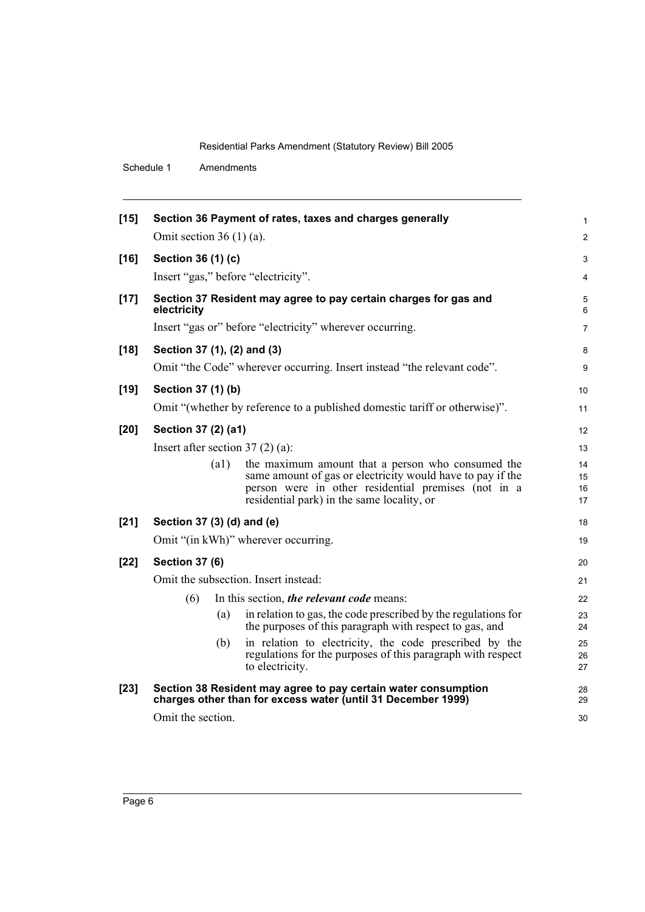| $[15]$ |                                   |      | Section 36 Payment of rates, taxes and charges generally                                                                                                                                                             | $\mathbf{1}$         |
|--------|-----------------------------------|------|----------------------------------------------------------------------------------------------------------------------------------------------------------------------------------------------------------------------|----------------------|
|        | Omit section 36 $(1)$ (a).        |      |                                                                                                                                                                                                                      | 2                    |
| $[16]$ | Section 36 (1) (c)                |      |                                                                                                                                                                                                                      | 3                    |
|        |                                   |      | Insert "gas," before "electricity".                                                                                                                                                                                  | $\overline{4}$       |
| $[17]$ | electricity                       |      | Section 37 Resident may agree to pay certain charges for gas and                                                                                                                                                     | 5<br>6               |
|        |                                   |      | Insert "gas or" before "electricity" wherever occurring.                                                                                                                                                             | 7                    |
| $[18]$ | Section 37 (1), (2) and (3)       |      |                                                                                                                                                                                                                      | 8                    |
|        |                                   |      | Omit "the Code" wherever occurring. Insert instead "the relevant code".                                                                                                                                              | 9                    |
| $[19]$ | Section 37 (1) (b)                |      |                                                                                                                                                                                                                      | 10                   |
|        |                                   |      | Omit "(whether by reference to a published domestic tariff or otherwise)".                                                                                                                                           | 11                   |
| [20]   | Section 37 (2) (a1)               |      |                                                                                                                                                                                                                      | 12                   |
|        | Insert after section $37(2)(a)$ : |      |                                                                                                                                                                                                                      | 13                   |
|        |                                   | (a1) | the maximum amount that a person who consumed the<br>same amount of gas or electricity would have to pay if the<br>person were in other residential premises (not in a<br>residential park) in the same locality, or | 14<br>15<br>16<br>17 |
| $[21]$ | Section 37 (3) (d) and (e)        |      |                                                                                                                                                                                                                      | 18                   |
|        |                                   |      | Omit "(in kWh)" wherever occurring.                                                                                                                                                                                  | 19                   |
| $[22]$ | <b>Section 37 (6)</b>             |      |                                                                                                                                                                                                                      | 20                   |
|        |                                   |      | Omit the subsection. Insert instead:                                                                                                                                                                                 | 21                   |
|        | (6)                               |      | In this section, the relevant code means:                                                                                                                                                                            | 22                   |
|        |                                   | (a)  | in relation to gas, the code prescribed by the regulations for<br>the purposes of this paragraph with respect to gas, and                                                                                            | 23<br>24             |
|        |                                   | (b)  | in relation to electricity, the code prescribed by the<br>regulations for the purposes of this paragraph with respect<br>to electricity.                                                                             | 25<br>26<br>27       |
| $[23]$ |                                   |      | Section 38 Resident may agree to pay certain water consumption<br>charges other than for excess water (until 31 December 1999)                                                                                       | 28<br>29             |
|        | Omit the section.                 |      |                                                                                                                                                                                                                      | 30                   |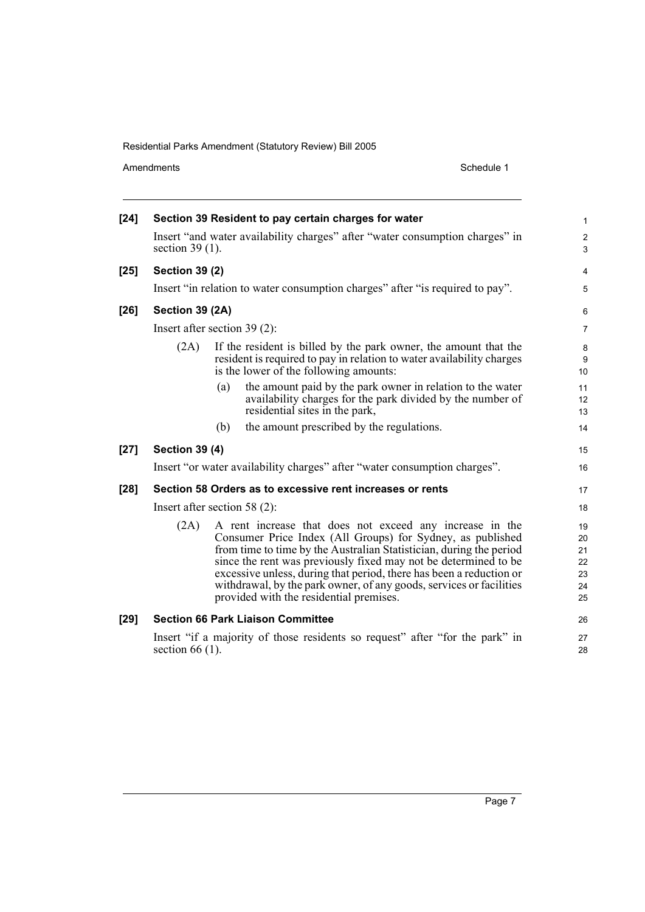| $[24]$ |                                 |                                                                                                                                                                                     | Section 39 Resident to pay certain charges for water                                                                                                                                                                                                                                                                                                                                                                                                      | $\mathbf{1}$                           |
|--------|---------------------------------|-------------------------------------------------------------------------------------------------------------------------------------------------------------------------------------|-----------------------------------------------------------------------------------------------------------------------------------------------------------------------------------------------------------------------------------------------------------------------------------------------------------------------------------------------------------------------------------------------------------------------------------------------------------|----------------------------------------|
|        | section $39(1)$ .               |                                                                                                                                                                                     | Insert "and water availability charges" after "water consumption charges" in                                                                                                                                                                                                                                                                                                                                                                              | $\overline{2}$<br>3                    |
| $[25]$ | <b>Section 39 (2)</b>           |                                                                                                                                                                                     |                                                                                                                                                                                                                                                                                                                                                                                                                                                           | 4                                      |
|        |                                 |                                                                                                                                                                                     | Insert "in relation to water consumption charges" after "is required to pay".                                                                                                                                                                                                                                                                                                                                                                             | 5                                      |
| $[26]$ | Section 39 (2A)                 |                                                                                                                                                                                     |                                                                                                                                                                                                                                                                                                                                                                                                                                                           | 6                                      |
|        | Insert after section $39(2)$ :  |                                                                                                                                                                                     |                                                                                                                                                                                                                                                                                                                                                                                                                                                           | $\overline{7}$                         |
|        | (2A)                            | If the resident is billed by the park owner, the amount that the<br>resident is required to pay in relation to water availability charges<br>is the lower of the following amounts: |                                                                                                                                                                                                                                                                                                                                                                                                                                                           | 8<br>9<br>10                           |
|        |                                 | (a)                                                                                                                                                                                 | the amount paid by the park owner in relation to the water<br>availability charges for the park divided by the number of<br>residential sites in the park,                                                                                                                                                                                                                                                                                                | 11<br>12<br>13                         |
|        |                                 | (b)                                                                                                                                                                                 | the amount prescribed by the regulations.                                                                                                                                                                                                                                                                                                                                                                                                                 | 14                                     |
| $[27]$ | <b>Section 39 (4)</b>           |                                                                                                                                                                                     |                                                                                                                                                                                                                                                                                                                                                                                                                                                           | 15                                     |
|        |                                 |                                                                                                                                                                                     | Insert "or water availability charges" after "water consumption charges".                                                                                                                                                                                                                                                                                                                                                                                 | 16                                     |
| $[28]$ |                                 |                                                                                                                                                                                     | Section 58 Orders as to excessive rent increases or rents                                                                                                                                                                                                                                                                                                                                                                                                 | 17                                     |
|        | Insert after section 58 $(2)$ : |                                                                                                                                                                                     |                                                                                                                                                                                                                                                                                                                                                                                                                                                           | 18                                     |
|        | (2A)                            |                                                                                                                                                                                     | A rent increase that does not exceed any increase in the<br>Consumer Price Index (All Groups) for Sydney, as published<br>from time to time by the Australian Statistician, during the period<br>since the rent was previously fixed may not be determined to be<br>excessive unless, during that period, there has been a reduction or<br>withdrawal, by the park owner, of any goods, services or facilities<br>provided with the residential premises. | 19<br>20<br>21<br>22<br>23<br>24<br>25 |
| [29]   |                                 |                                                                                                                                                                                     | <b>Section 66 Park Liaison Committee</b>                                                                                                                                                                                                                                                                                                                                                                                                                  | 26                                     |
|        | section 66 $(1)$ .              |                                                                                                                                                                                     | Insert "if a majority of those residents so request" after "for the park" in                                                                                                                                                                                                                                                                                                                                                                              | 27<br>28                               |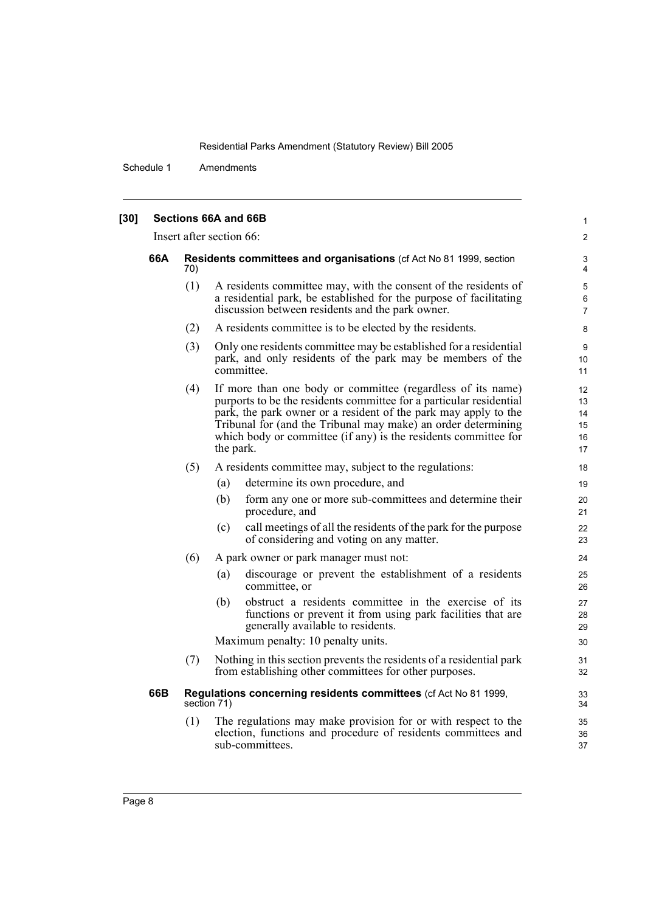|     |                                                                           | Sections 66A and 66B                                                                                                                                                                                                                                                                                                                                   |  |  |  |
|-----|---------------------------------------------------------------------------|--------------------------------------------------------------------------------------------------------------------------------------------------------------------------------------------------------------------------------------------------------------------------------------------------------------------------------------------------------|--|--|--|
|     | Insert after section 66:                                                  |                                                                                                                                                                                                                                                                                                                                                        |  |  |  |
| 66A | Residents committees and organisations (cf Act No 81 1999, section<br>70) |                                                                                                                                                                                                                                                                                                                                                        |  |  |  |
|     | (1)                                                                       | A residents committee may, with the consent of the residents of<br>a residential park, be established for the purpose of facilitating<br>discussion between residents and the park owner.                                                                                                                                                              |  |  |  |
|     | (2)                                                                       | A residents committee is to be elected by the residents.                                                                                                                                                                                                                                                                                               |  |  |  |
|     | (3)                                                                       | Only one residents committee may be established for a residential<br>park, and only residents of the park may be members of the<br>committee.                                                                                                                                                                                                          |  |  |  |
|     | (4)                                                                       | If more than one body or committee (regardless of its name)<br>purports to be the residents committee for a particular residential<br>park, the park owner or a resident of the park may apply to the<br>Tribunal for (and the Tribunal may make) an order determining<br>which body or committee (if any) is the residents committee for<br>the park. |  |  |  |
|     | (5)                                                                       | A residents committee may, subject to the regulations:                                                                                                                                                                                                                                                                                                 |  |  |  |
|     |                                                                           | determine its own procedure, and<br>(a)                                                                                                                                                                                                                                                                                                                |  |  |  |
|     |                                                                           | (b)<br>form any one or more sub-committees and determine their<br>procedure, and                                                                                                                                                                                                                                                                       |  |  |  |
|     |                                                                           | call meetings of all the residents of the park for the purpose<br>(c)<br>of considering and voting on any matter.                                                                                                                                                                                                                                      |  |  |  |
|     | (6)                                                                       | A park owner or park manager must not:                                                                                                                                                                                                                                                                                                                 |  |  |  |
|     |                                                                           | discourage or prevent the establishment of a residents<br>(a)<br>committee, or                                                                                                                                                                                                                                                                         |  |  |  |
|     |                                                                           | obstruct a residents committee in the exercise of its<br>(b)<br>functions or prevent it from using park facilities that are<br>generally available to residents.                                                                                                                                                                                       |  |  |  |
|     |                                                                           | Maximum penalty: 10 penalty units.                                                                                                                                                                                                                                                                                                                     |  |  |  |
|     | (7)                                                                       | Nothing in this section prevents the residents of a residential park<br>from establishing other committees for other purposes.                                                                                                                                                                                                                         |  |  |  |
| 66B |                                                                           | Regulations concerning residents committees (cf Act No 81 1999,<br>section 71)                                                                                                                                                                                                                                                                         |  |  |  |
|     | (1)                                                                       | The regulations may make provision for or with respect to the<br>election, functions and procedure of residents committees and<br>sub-committees.                                                                                                                                                                                                      |  |  |  |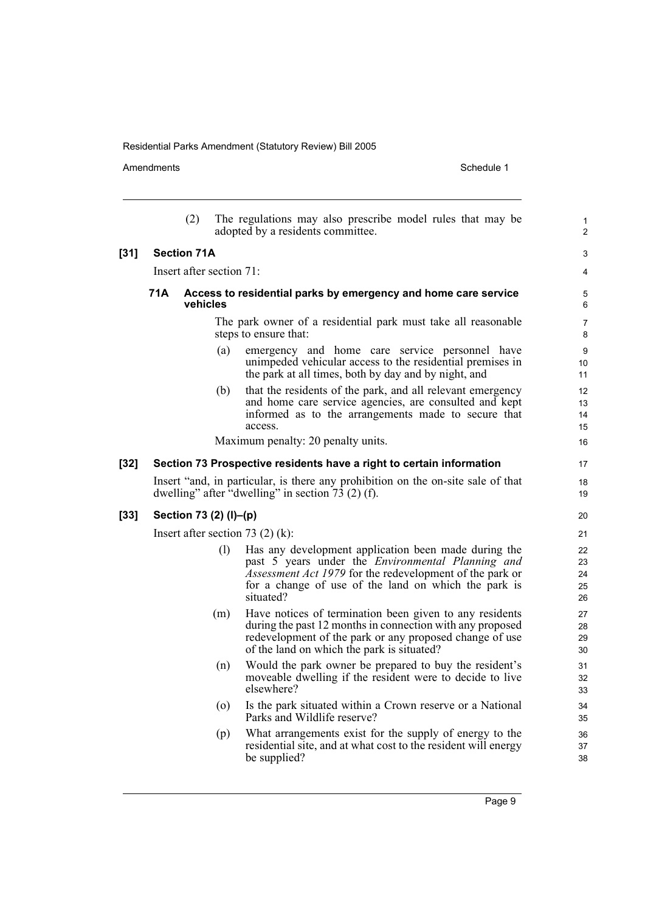Amendments Schedule 1

[31]

[33]

|        |     | (2)                |                             | The regulations may also prescribe model rules that may be<br>adopted by a residents committee.                                                                                                                                                          | $\mathbf{1}$<br>$\overline{2}$ |
|--------|-----|--------------------|-----------------------------|----------------------------------------------------------------------------------------------------------------------------------------------------------------------------------------------------------------------------------------------------------|--------------------------------|
| [31]   |     | <b>Section 71A</b> |                             |                                                                                                                                                                                                                                                          | 3                              |
|        |     |                    | Insert after section $71$ : |                                                                                                                                                                                                                                                          | 4                              |
|        | 71A | vehicles           |                             | Access to residential parks by emergency and home care service                                                                                                                                                                                           | 5<br>6                         |
|        |     |                    |                             | The park owner of a residential park must take all reasonable<br>steps to ensure that:                                                                                                                                                                   | $\overline{7}$<br>8            |
|        |     |                    | (a)                         | emergency and home care service personnel have<br>unimpeded vehicular access to the residential premises in<br>the park at all times, both by day and by night, and                                                                                      | 9<br>10<br>11                  |
|        |     |                    | (b)                         | that the residents of the park, and all relevant emergency<br>and home care service agencies, are consulted and kept<br>informed as to the arrangements made to secure that<br>access.                                                                   | 12<br>13<br>14<br>15           |
|        |     |                    |                             | Maximum penalty: 20 penalty units.                                                                                                                                                                                                                       | 16                             |
| [32]   |     |                    |                             | Section 73 Prospective residents have a right to certain information                                                                                                                                                                                     | 17                             |
|        |     |                    |                             | Insert "and, in particular, is there any prohibition on the on-site sale of that<br>dwelling" after "dwelling" in section $73(2)$ (f).                                                                                                                   | 18<br>19                       |
| $[33]$ |     |                    | Section 73 (2) (I)–(p)      |                                                                                                                                                                                                                                                          | 20                             |
|        |     |                    |                             | Insert after section 73 $(2)$ $(k)$ :                                                                                                                                                                                                                    | 21                             |
|        |     |                    | (1)                         | Has any development application been made during the<br>past 5 years under the <i>Environmental Planning and</i><br><i>Assessment Act 1979</i> for the redevelopment of the park or<br>for a change of use of the land on which the park is<br>situated? | 22<br>23<br>24<br>25<br>26     |
|        |     |                    | (m)                         | Have notices of termination been given to any residents<br>during the past 12 months in connection with any proposed<br>redevelopment of the park or any proposed change of use<br>of the land on which the park is situated?                            | 27<br>28<br>29<br>30           |
|        |     |                    | (n)                         | Would the park owner be prepared to buy the resident's<br>moveable dwelling if the resident were to decide to live<br>elsewhere?                                                                                                                         | 31<br>32<br>33                 |
|        |     |                    | (0)                         | Is the park situated within a Crown reserve or a National<br>Parks and Wildlife reserve?                                                                                                                                                                 | 34<br>35                       |
|        |     |                    | (p)                         | What arrangements exist for the supply of energy to the<br>residential site, and at what cost to the resident will energy<br>be supplied?                                                                                                                | 36<br>37<br>38                 |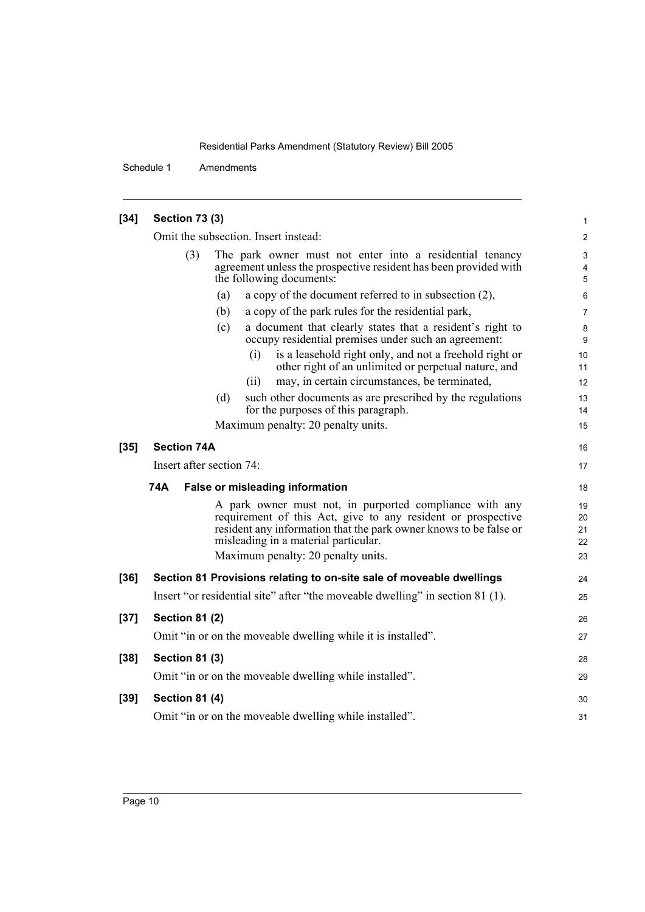16 17

24 25

26 27

28 29

30 31

| $[34]$ | <b>Section 73 (3)</b>                                                                                                                                                                                                                                                                                      |  |  |  |  |  |  |
|--------|------------------------------------------------------------------------------------------------------------------------------------------------------------------------------------------------------------------------------------------------------------------------------------------------------------|--|--|--|--|--|--|
|        | Omit the subsection. Insert instead:                                                                                                                                                                                                                                                                       |  |  |  |  |  |  |
|        | (3)<br>The park owner must not enter into a residential tenancy<br>agreement unless the prospective resident has been provided with<br>the following documents:                                                                                                                                            |  |  |  |  |  |  |
|        | a copy of the document referred to in subsection (2),<br>(a)                                                                                                                                                                                                                                               |  |  |  |  |  |  |
|        | (b)<br>a copy of the park rules for the residential park,                                                                                                                                                                                                                                                  |  |  |  |  |  |  |
|        | a document that clearly states that a resident's right to<br>(c)<br>occupy residential premises under such an agreement:<br>is a leasehold right only, and not a freehold right or<br>(i)<br>other right of an unlimited or perpetual nature, and<br>may, in certain circumstances, be terminated,<br>(ii) |  |  |  |  |  |  |
|        | (d)<br>such other documents as are prescribed by the regulations<br>for the purposes of this paragraph.                                                                                                                                                                                                    |  |  |  |  |  |  |
|        | Maximum penalty: 20 penalty units.                                                                                                                                                                                                                                                                         |  |  |  |  |  |  |
| $[35]$ | <b>Section 74A</b>                                                                                                                                                                                                                                                                                         |  |  |  |  |  |  |
|        | Insert after section 74:                                                                                                                                                                                                                                                                                   |  |  |  |  |  |  |
|        | 74A<br><b>False or misleading information</b>                                                                                                                                                                                                                                                              |  |  |  |  |  |  |
|        | A park owner must not, in purported compliance with any<br>requirement of this Act, give to any resident or prospective<br>resident any information that the park owner knows to be false or<br>misleading in a material particular.<br>Maximum penalty: 20 penalty units.                                 |  |  |  |  |  |  |
| $[36]$ | Section 81 Provisions relating to on-site sale of moveable dwellings                                                                                                                                                                                                                                       |  |  |  |  |  |  |
|        | Insert "or residential site" after "the moveable dwelling" in section 81 (1).                                                                                                                                                                                                                              |  |  |  |  |  |  |
| $[37]$ | <b>Section 81 (2)</b>                                                                                                                                                                                                                                                                                      |  |  |  |  |  |  |
|        | Omit "in or on the moveable dwelling while it is installed".                                                                                                                                                                                                                                               |  |  |  |  |  |  |
| $[38]$ | <b>Section 81 (3)</b>                                                                                                                                                                                                                                                                                      |  |  |  |  |  |  |
|        | Omit "in or on the moveable dwelling while installed".                                                                                                                                                                                                                                                     |  |  |  |  |  |  |
| $[39]$ | <b>Section 81 (4)</b>                                                                                                                                                                                                                                                                                      |  |  |  |  |  |  |
|        | Omit "in or on the moveable dwelling while installed".                                                                                                                                                                                                                                                     |  |  |  |  |  |  |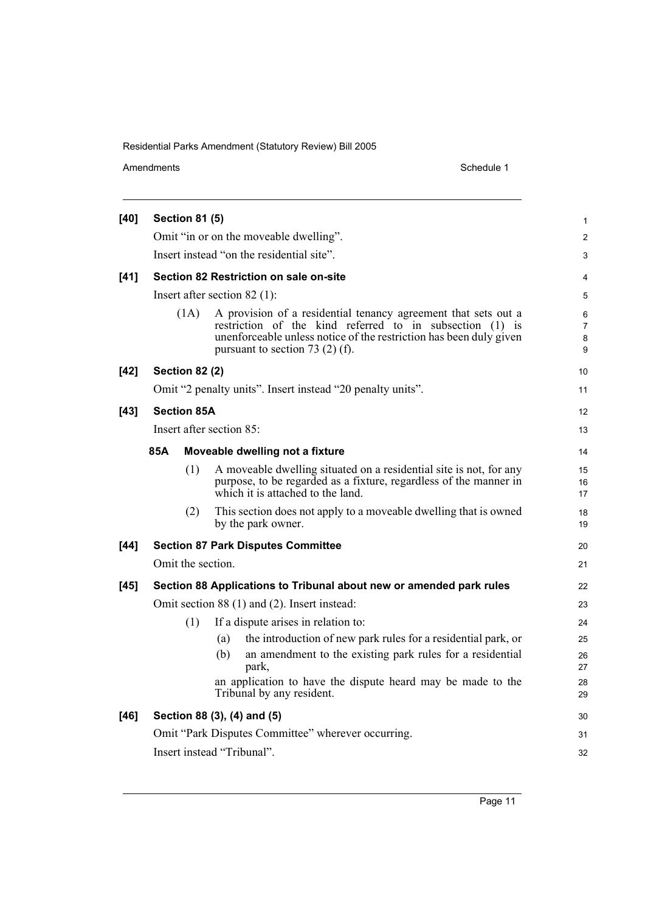| $[40]$ | <b>Section 81 (5)</b>          |     |     |                                                                                                                                                                                                                                       | $\mathbf{1}$                  |
|--------|--------------------------------|-----|-----|---------------------------------------------------------------------------------------------------------------------------------------------------------------------------------------------------------------------------------------|-------------------------------|
|        |                                |     |     | Omit "in or on the moveable dwelling".                                                                                                                                                                                                | 2                             |
|        |                                |     |     | Insert instead "on the residential site".                                                                                                                                                                                             | 3                             |
| $[41]$ |                                |     |     | Section 82 Restriction on sale on-site                                                                                                                                                                                                | 4                             |
|        | Insert after section $82$ (1): |     |     |                                                                                                                                                                                                                                       | 5                             |
|        | (1A)                           |     |     | A provision of a residential tenancy agreement that sets out a<br>restriction of the kind referred to in subsection (1) is<br>unenforceable unless notice of the restriction has been duly given<br>pursuant to section 73 $(2)$ (f). | 6<br>$\overline{7}$<br>8<br>9 |
| $[42]$ | <b>Section 82 (2)</b>          |     |     |                                                                                                                                                                                                                                       | 10                            |
|        |                                |     |     | Omit "2 penalty units". Insert instead "20 penalty units".                                                                                                                                                                            | 11                            |
| $[43]$ | <b>Section 85A</b>             |     |     |                                                                                                                                                                                                                                       | 12                            |
|        | Insert after section 85:       |     |     |                                                                                                                                                                                                                                       | 13                            |
|        | 85A                            |     |     | Moveable dwelling not a fixture                                                                                                                                                                                                       | 14                            |
|        |                                | (1) |     | A moveable dwelling situated on a residential site is not, for any<br>purpose, to be regarded as a fixture, regardless of the manner in<br>which it is attached to the land.                                                          | 15<br>16<br>17                |
|        |                                | (2) |     | This section does not apply to a moveable dwelling that is owned<br>by the park owner.                                                                                                                                                | 18<br>19                      |
| $[44]$ |                                |     |     | <b>Section 87 Park Disputes Committee</b>                                                                                                                                                                                             | 20                            |
|        | Omit the section.              |     |     |                                                                                                                                                                                                                                       | 21                            |
| $[45]$ |                                |     |     | Section 88 Applications to Tribunal about new or amended park rules                                                                                                                                                                   | 22                            |
|        |                                |     |     | Omit section 88 (1) and (2). Insert instead:                                                                                                                                                                                          | 23                            |
|        |                                | (1) |     | If a dispute arises in relation to:                                                                                                                                                                                                   | 24                            |
|        |                                |     | (a) | the introduction of new park rules for a residential park, or                                                                                                                                                                         | 25                            |
|        |                                |     | (b) | an amendment to the existing park rules for a residential<br>park,                                                                                                                                                                    | 26<br>27                      |
|        |                                |     |     | an application to have the dispute heard may be made to the<br>Tribunal by any resident.                                                                                                                                              | 28<br>29                      |
| $[46]$ | Section 88 (3), (4) and (5)    |     |     |                                                                                                                                                                                                                                       | 30                            |
|        |                                |     |     | Omit "Park Disputes Committee" wherever occurring.                                                                                                                                                                                    | 31                            |
|        | Insert instead "Tribunal".     |     |     |                                                                                                                                                                                                                                       | 32                            |
|        |                                |     |     |                                                                                                                                                                                                                                       |                               |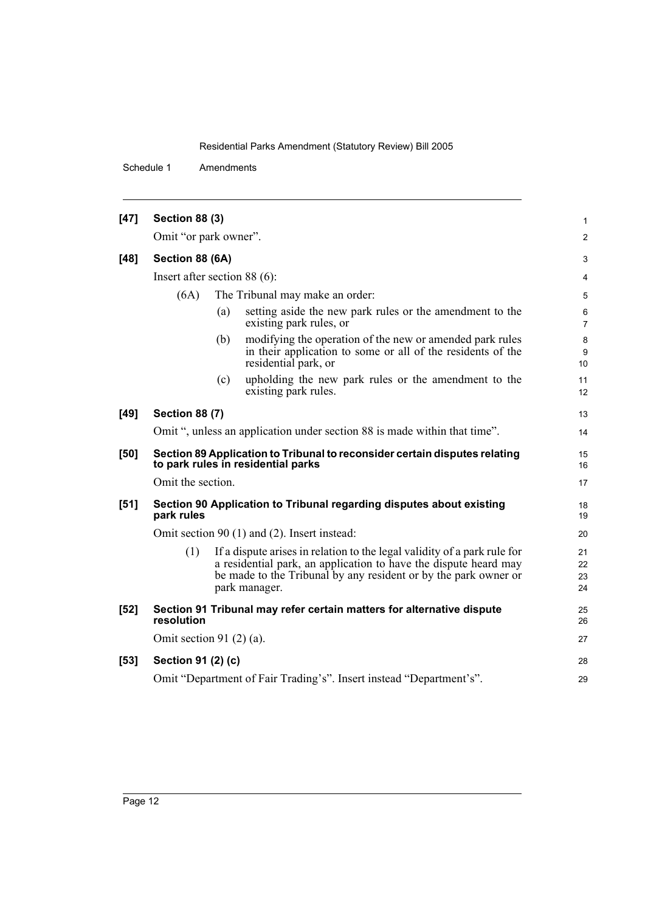| $[47]$ | <b>Section 88 (3)</b>          |     |                                                                                                                                                                                                                                  | $\mathbf{1}$         |  |
|--------|--------------------------------|-----|----------------------------------------------------------------------------------------------------------------------------------------------------------------------------------------------------------------------------------|----------------------|--|
|        | Omit "or park owner".          |     |                                                                                                                                                                                                                                  | $\overline{2}$       |  |
| $[48]$ | Section 88 (6A)                |     |                                                                                                                                                                                                                                  |                      |  |
|        | Insert after section $88(6)$ : |     |                                                                                                                                                                                                                                  |                      |  |
|        | (6A)                           |     | The Tribunal may make an order:                                                                                                                                                                                                  | 5                    |  |
|        |                                | (a) | setting aside the new park rules or the amendment to the<br>existing park rules, or                                                                                                                                              | 6<br>$\overline{7}$  |  |
|        |                                | (b) | modifying the operation of the new or amended park rules<br>in their application to some or all of the residents of the<br>residential park, or                                                                                  | 8<br>9<br>10         |  |
|        |                                | (c) | upholding the new park rules or the amendment to the<br>existing park rules.                                                                                                                                                     | 11<br>12             |  |
| $[49]$ | <b>Section 88 (7)</b>          |     |                                                                                                                                                                                                                                  | 13                   |  |
|        |                                |     | Omit ", unless an application under section 88 is made within that time".                                                                                                                                                        | 14                   |  |
| $[50]$ |                                |     | Section 89 Application to Tribunal to reconsider certain disputes relating<br>to park rules in residential parks                                                                                                                 |                      |  |
|        | Omit the section.              |     |                                                                                                                                                                                                                                  | 17                   |  |
| $[51]$ | park rules                     |     | Section 90 Application to Tribunal regarding disputes about existing                                                                                                                                                             | 18<br>19             |  |
|        |                                |     | Omit section 90 (1) and (2). Insert instead:                                                                                                                                                                                     | 20                   |  |
|        | (1)                            |     | If a dispute arises in relation to the legal validity of a park rule for<br>a residential park, an application to have the dispute heard may<br>be made to the Tribunal by any resident or by the park owner or<br>park manager. | 21<br>22<br>23<br>24 |  |
| $[52]$ | resolution                     |     | Section 91 Tribunal may refer certain matters for alternative dispute                                                                                                                                                            | 25<br>26             |  |
|        | Omit section 91 $(2)$ $(a)$ .  |     |                                                                                                                                                                                                                                  | 27                   |  |
| $[53]$ | Section 91 (2) (c)             |     |                                                                                                                                                                                                                                  | 28                   |  |
|        |                                |     | Omit "Department of Fair Trading's". Insert instead "Department's".                                                                                                                                                              | 29                   |  |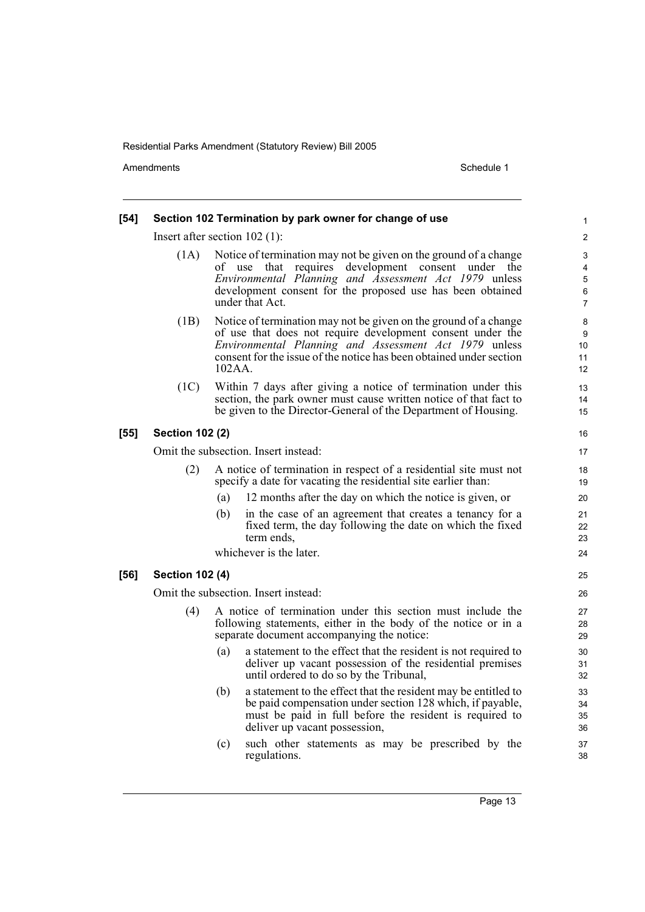| $[54]$ |                                      |        | Section 102 Termination by park owner for change of use                                                                                                                                                                                                          | 1                                                  |  |
|--------|--------------------------------------|--------|------------------------------------------------------------------------------------------------------------------------------------------------------------------------------------------------------------------------------------------------------------------|----------------------------------------------------|--|
|        | Insert after section $102$ (1):      |        |                                                                                                                                                                                                                                                                  | 2                                                  |  |
|        | (1A)                                 |        | Notice of termination may not be given on the ground of a change<br>of use that requires development consent under the<br>Environmental Planning and Assessment Act 1979 unless<br>development consent for the proposed use has been obtained<br>under that Act. | 3<br>4<br>$\mathbf 5$<br>$\,6\,$<br>$\overline{7}$ |  |
|        | (1B)                                 | 102AA. | Notice of termination may not be given on the ground of a change<br>of use that does not require development consent under the<br>Environmental Planning and Assessment Act 1979 unless<br>consent for the issue of the notice has been obtained under section   | 8<br>9<br>10<br>11<br>12                           |  |
|        | (1C)                                 |        | Within 7 days after giving a notice of termination under this<br>section, the park owner must cause written notice of that fact to<br>be given to the Director-General of the Department of Housing.                                                             | 13<br>14<br>15                                     |  |
| $[55]$ | <b>Section 102 (2)</b>               |        |                                                                                                                                                                                                                                                                  | 16                                                 |  |
|        | Omit the subsection. Insert instead: |        |                                                                                                                                                                                                                                                                  |                                                    |  |
|        | (2)                                  |        | A notice of termination in respect of a residential site must not<br>specify a date for vacating the residential site earlier than:                                                                                                                              | 18<br>19                                           |  |
|        |                                      | (a)    | 12 months after the day on which the notice is given, or                                                                                                                                                                                                         | 20                                                 |  |
|        |                                      | (b)    | in the case of an agreement that creates a tenancy for a<br>fixed term, the day following the date on which the fixed<br>term ends,                                                                                                                              | 21<br>22<br>23                                     |  |
|        |                                      |        | whichever is the later.                                                                                                                                                                                                                                          | 24                                                 |  |
| $[56]$ | <b>Section 102 (4)</b>               |        |                                                                                                                                                                                                                                                                  | 25                                                 |  |
|        |                                      |        | Omit the subsection. Insert instead:                                                                                                                                                                                                                             | 26                                                 |  |
|        | (4)                                  |        | A notice of termination under this section must include the<br>following statements, either in the body of the notice or in a<br>separate document accompanying the notice:                                                                                      | 27<br>28<br>29                                     |  |
|        |                                      | (a)    | a statement to the effect that the resident is not required to<br>deliver up vacant possession of the residential premises<br>until ordered to do so by the Tribunal,                                                                                            | 30<br>31<br>32                                     |  |
|        |                                      |        | (b) a statement to the effect that the resident may be entitled to<br>be paid compensation under section 128 which, if payable,<br>must be paid in full before the resident is required to<br>deliver up vacant possession,                                      | 33<br>34<br>35<br>36                               |  |
|        |                                      | (c)    | such other statements as may be prescribed by the<br>regulations.                                                                                                                                                                                                | 37<br>38                                           |  |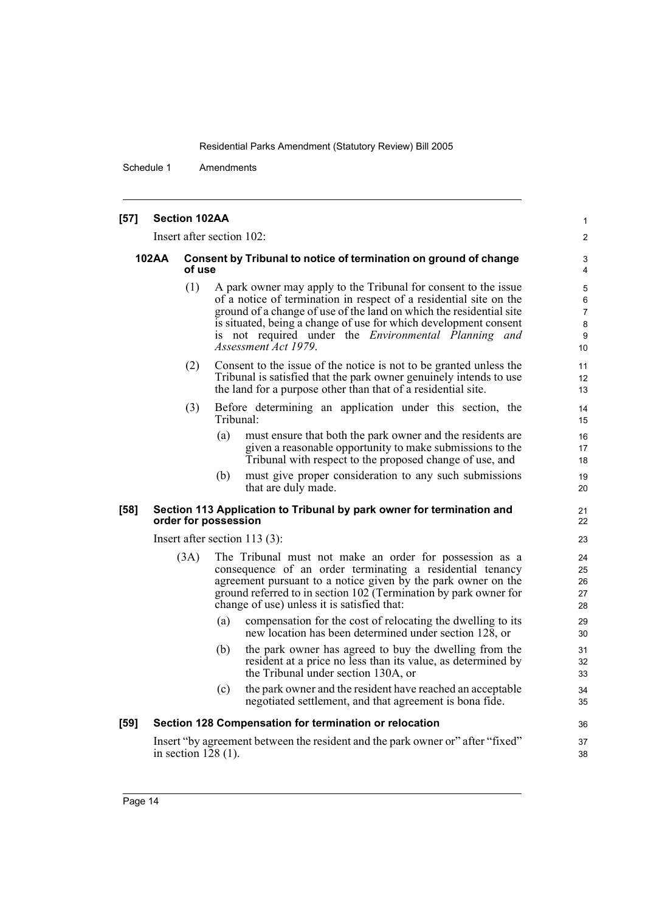Schedule 1 Amendments

#### **[57] Section 102AA**

Insert after section 102:

#### **102AA Consent by Tribunal to notice of termination on ground of change of use**

(1) A park owner may apply to the Tribunal for consent to the issue of a notice of termination in respect of a residential site on the ground of a change of use of the land on which the residential site is situated, being a change of use for which development consent is not required under the *Environmental Planning and Assessment Act 1979*.

1  $\mathfrak{p}$ 

- (2) Consent to the issue of the notice is not to be granted unless the Tribunal is satisfied that the park owner genuinely intends to use the land for a purpose other than that of a residential site.
- (3) Before determining an application under this section, the Tribunal:
	- (a) must ensure that both the park owner and the residents are given a reasonable opportunity to make submissions to the Tribunal with respect to the proposed change of use, and
	- (b) must give proper consideration to any such submissions that are duly made.

#### **[58] Section 113 Application to Tribunal by park owner for termination and order for possession**

Insert after section 113 (3):

- (3A) The Tribunal must not make an order for possession as a consequence of an order terminating a residential tenancy agreement pursuant to a notice given by the park owner on the ground referred to in section 102 (Termination by park owner for change of use) unless it is satisfied that:
	- (a) compensation for the cost of relocating the dwelling to its new location has been determined under section 128, or
	- (b) the park owner has agreed to buy the dwelling from the resident at a price no less than its value, as determined by the Tribunal under section 130A, or
	- (c) the park owner and the resident have reached an acceptable negotiated settlement, and that agreement is bona fide.

#### **[59] Section 128 Compensation for termination or relocation**

Insert "by agreement between the resident and the park owner or" after "fixed" in section 128 (1).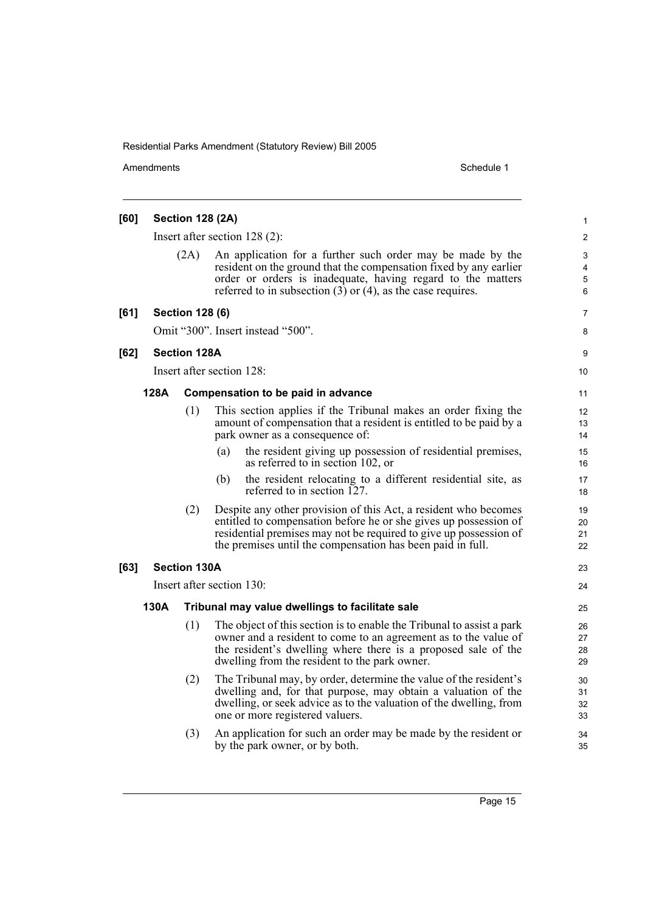| [60] |                                 | <b>Section 128 (2A)</b> |                                                                                                                                                                                                                                                                    | 1                    |
|------|---------------------------------|-------------------------|--------------------------------------------------------------------------------------------------------------------------------------------------------------------------------------------------------------------------------------------------------------------|----------------------|
|      | Insert after section $128(2)$ : |                         |                                                                                                                                                                                                                                                                    | 2                    |
|      |                                 | (2A)                    | An application for a further such order may be made by the<br>resident on the ground that the compensation fixed by any earlier<br>order or orders is inadequate, having regard to the matters<br>referred to in subsection $(3)$ or $(4)$ , as the case requires. | 3<br>4<br>5<br>6     |
| [61] |                                 | <b>Section 128 (6)</b>  |                                                                                                                                                                                                                                                                    | 7                    |
|      |                                 |                         | Omit "300". Insert instead "500".                                                                                                                                                                                                                                  | 8                    |
| [62] |                                 | <b>Section 128A</b>     |                                                                                                                                                                                                                                                                    | 9                    |
|      |                                 |                         | Insert after section 128:                                                                                                                                                                                                                                          | 10                   |
|      |                                 |                         |                                                                                                                                                                                                                                                                    |                      |
|      | 128A                            |                         | Compensation to be paid in advance                                                                                                                                                                                                                                 | 11                   |
|      |                                 | (1)                     | This section applies if the Tribunal makes an order fixing the                                                                                                                                                                                                     | 12                   |
|      |                                 |                         | amount of compensation that a resident is entitled to be paid by a<br>park owner as a consequence of:                                                                                                                                                              | 13<br>14             |
|      |                                 |                         | the resident giving up possession of residential premises,<br>(a)                                                                                                                                                                                                  | 15                   |
|      |                                 |                         | as referred to in section 102, or                                                                                                                                                                                                                                  | 16                   |
|      |                                 |                         | the resident relocating to a different residential site, as<br>(b)                                                                                                                                                                                                 | 17                   |
|      |                                 |                         | referred to in section 127.                                                                                                                                                                                                                                        | 18                   |
|      |                                 | (2)                     | Despite any other provision of this Act, a resident who becomes                                                                                                                                                                                                    | 19                   |
|      |                                 |                         | entitled to compensation before he or she gives up possession of                                                                                                                                                                                                   | 20                   |
|      |                                 |                         | residential premises may not be required to give up possession of<br>the premises until the compensation has been paid in full.                                                                                                                                    | 21<br>22             |
| [63] |                                 | <b>Section 130A</b>     |                                                                                                                                                                                                                                                                    | 23                   |
|      |                                 |                         |                                                                                                                                                                                                                                                                    |                      |
|      |                                 |                         | Insert after section 130:                                                                                                                                                                                                                                          | 24                   |
|      | 130A                            |                         | Tribunal may value dwellings to facilitate sale                                                                                                                                                                                                                    | 25                   |
|      |                                 | (1)                     | The object of this section is to enable the Tribunal to assist a park<br>owner and a resident to come to an agreement as to the value of<br>the resident's dwelling where there is a proposed sale of the<br>dwelling from the resident to the park owner.         | 26<br>27<br>28<br>29 |
|      |                                 | (2)                     | The Tribunal may, by order, determine the value of the resident's<br>dwelling and, for that purpose, may obtain a valuation of the<br>dwelling, or seek advice as to the valuation of the dwelling, from<br>one or more registered valuers.                        | 30<br>31<br>32<br>33 |
|      |                                 | (3)                     | An application for such an order may be made by the resident or<br>by the park owner, or by both.                                                                                                                                                                  | 34<br>35             |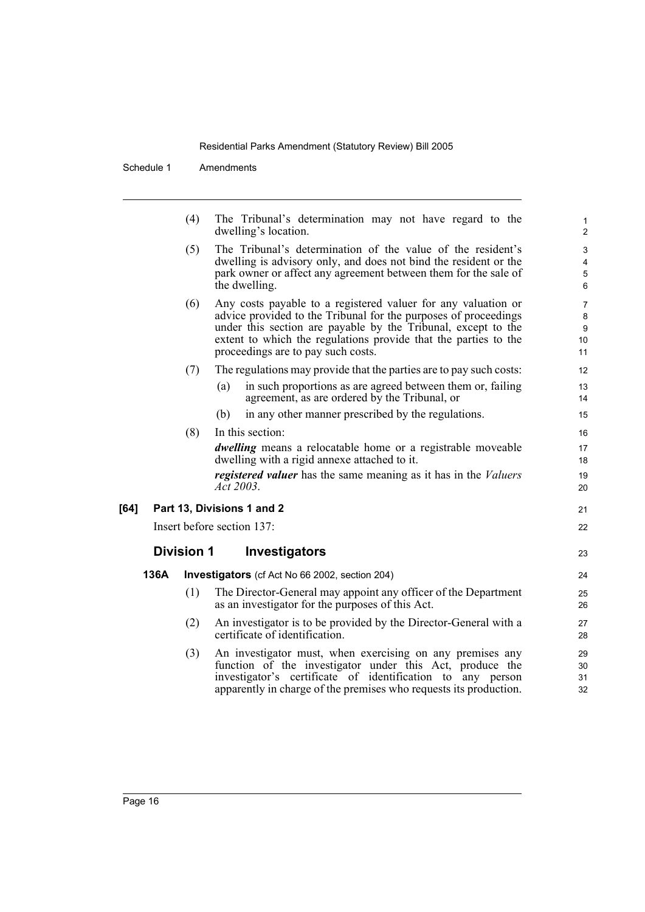|      | (4)               | The Tribunal's determination may not have regard to the<br>dwelling's location.                                                                                                                                                                                                                            | 1<br>$\overline{2}$                               |
|------|-------------------|------------------------------------------------------------------------------------------------------------------------------------------------------------------------------------------------------------------------------------------------------------------------------------------------------------|---------------------------------------------------|
|      | (5)               | The Tribunal's determination of the value of the resident's<br>dwelling is advisory only, and does not bind the resident or the<br>park owner or affect any agreement between them for the sale of<br>the dwelling.                                                                                        | $\mathbf{3}$<br>$\overline{\mathbf{4}}$<br>5<br>6 |
|      | (6)               | Any costs payable to a registered valuer for any valuation or<br>advice provided to the Tribunal for the purposes of proceedings<br>under this section are payable by the Tribunal, except to the<br>extent to which the regulations provide that the parties to the<br>proceedings are to pay such costs. | $\overline{7}$<br>8<br>9<br>10<br>11              |
|      | (7)               | The regulations may provide that the parties are to pay such costs:                                                                                                                                                                                                                                        | 12                                                |
|      |                   | in such proportions as are agreed between them or, failing<br>(a)<br>agreement, as are ordered by the Tribunal, or                                                                                                                                                                                         | 13<br>14                                          |
|      |                   | in any other manner prescribed by the regulations.<br>(b)                                                                                                                                                                                                                                                  | 15                                                |
|      | (8)               | In this section:                                                                                                                                                                                                                                                                                           | 16                                                |
|      |                   | <i>dwelling</i> means a relocatable home or a registrable moveable<br>dwelling with a rigid annexe attached to it.                                                                                                                                                                                         | 17<br>18                                          |
|      |                   | <i>registered valuer</i> has the same meaning as it has in the <i>Valuers</i><br>Act 2003.                                                                                                                                                                                                                 | 19<br>20                                          |
| [64] |                   | Part 13, Divisions 1 and 2                                                                                                                                                                                                                                                                                 | 21                                                |
|      |                   | Insert before section 137:                                                                                                                                                                                                                                                                                 | 22                                                |
|      | <b>Division 1</b> | Investigators                                                                                                                                                                                                                                                                                              | 23                                                |
| 136A |                   | Investigators (cf Act No 66 2002, section 204)                                                                                                                                                                                                                                                             | 24                                                |
|      | (1)               | The Director-General may appoint any officer of the Department<br>as an investigator for the purposes of this Act.                                                                                                                                                                                         | 25<br>26                                          |
|      | (2)               | An investigator is to be provided by the Director-General with a<br>certificate of identification.                                                                                                                                                                                                         | 27<br>28                                          |
|      | (3)               | An investigator must, when exercising on any premises any<br>function of the investigator under this Act, produce the<br>investigator's certificate of identification to any person<br>apparently in charge of the premises who requests its production.                                                   | 29<br>30<br>31<br>32                              |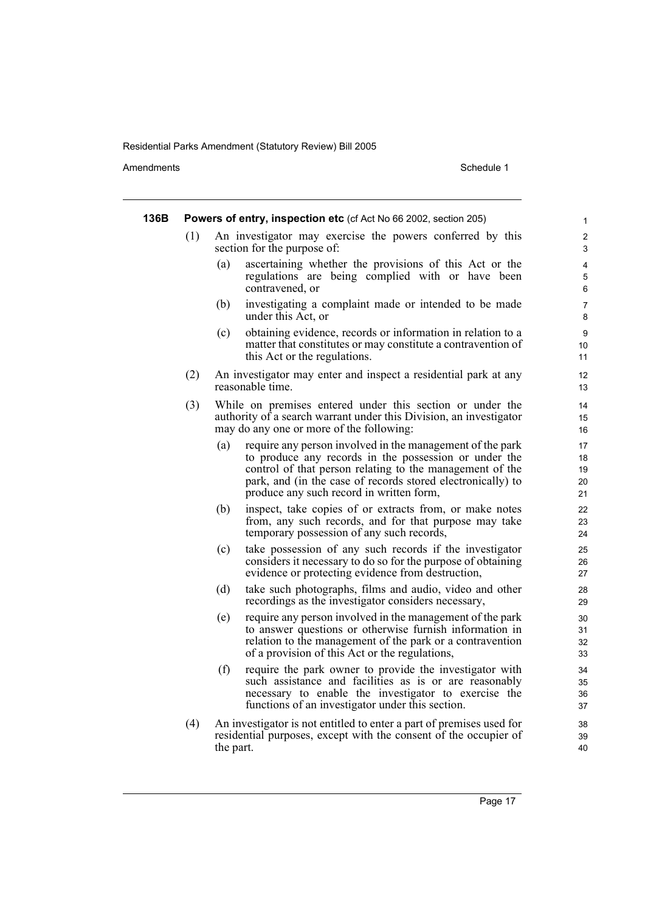| 136B |     |           | <b>Powers of entry, inspection etc</b> (cf Act No 66 2002, section 205)                                                                                                                                                                                                                   | $\mathbf{1}$               |
|------|-----|-----------|-------------------------------------------------------------------------------------------------------------------------------------------------------------------------------------------------------------------------------------------------------------------------------------------|----------------------------|
|      | (1) |           | An investigator may exercise the powers conferred by this<br>section for the purpose of:                                                                                                                                                                                                  | $\overline{2}$<br>3        |
|      |     | (a)       | ascertaining whether the provisions of this Act or the<br>regulations are being complied with or have been<br>contravened, or                                                                                                                                                             | 4<br>5<br>6                |
|      |     | (b)       | investigating a complaint made or intended to be made<br>under this Act, or                                                                                                                                                                                                               | $\overline{7}$<br>8        |
|      |     | (c)       | obtaining evidence, records or information in relation to a<br>matter that constitutes or may constitute a contravention of<br>this Act or the regulations.                                                                                                                               | 9<br>10<br>11              |
|      | (2) |           | An investigator may enter and inspect a residential park at any<br>reasonable time.                                                                                                                                                                                                       | 12<br>13                   |
|      | (3) |           | While on premises entered under this section or under the<br>authority of a search warrant under this Division, an investigator<br>may do any one or more of the following:                                                                                                               | 14<br>15<br>16             |
|      |     | (a)       | require any person involved in the management of the park<br>to produce any records in the possession or under the<br>control of that person relating to the management of the<br>park, and (in the case of records stored electronically) to<br>produce any such record in written form, | 17<br>18<br>19<br>20<br>21 |
|      |     | (b)       | inspect, take copies of or extracts from, or make notes<br>from, any such records, and for that purpose may take<br>temporary possession of any such records,                                                                                                                             | 22<br>23<br>24             |
|      |     | (c)       | take possession of any such records if the investigator<br>considers it necessary to do so for the purpose of obtaining<br>evidence or protecting evidence from destruction,                                                                                                              | 25<br>26<br>27             |
|      |     | (d)       | take such photographs, films and audio, video and other<br>recordings as the investigator considers necessary,                                                                                                                                                                            | 28<br>29                   |
|      |     | (e)       | require any person involved in the management of the park<br>to answer questions or otherwise furnish information in<br>relation to the management of the park or a contravention<br>of a provision of this Act or the regulations,                                                       | 30<br>31<br>32<br>33       |
|      |     | (f)       | require the park owner to provide the investigator with<br>such assistance and facilities as is or are reasonably<br>necessary to enable the investigator to exercise the<br>functions of an investigator under this section.                                                             | 34<br>35<br>36<br>37       |
|      | (4) | the part. | An investigator is not entitled to enter a part of premises used for<br>residential purposes, except with the consent of the occupier of                                                                                                                                                  | 38<br>39<br>40             |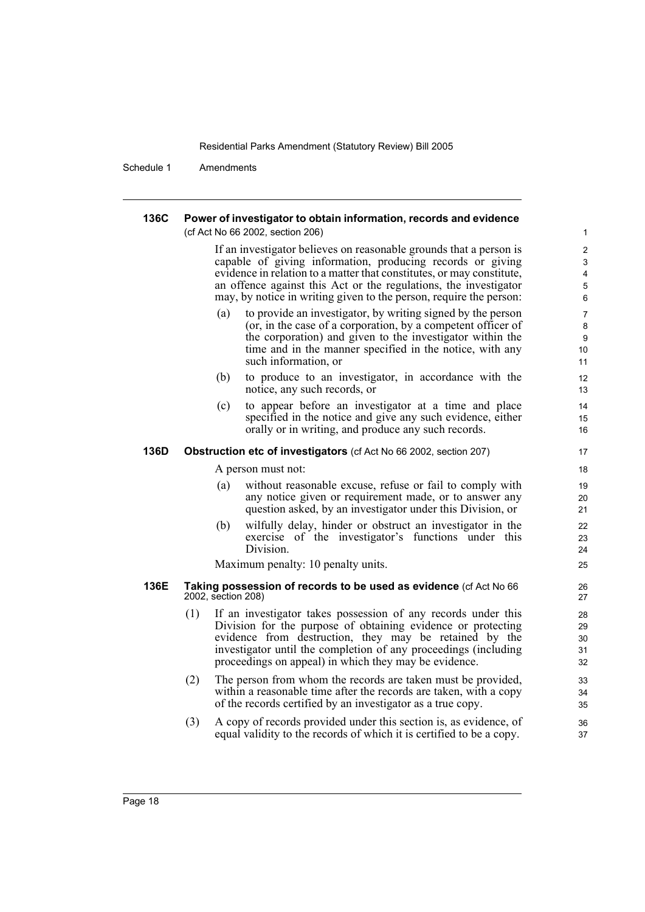| 136C | (cf Act No 66 2002, section 206) | Power of investigator to obtain information, records and evidence                                                                                                                                                                                                                                                                                   |  |
|------|----------------------------------|-----------------------------------------------------------------------------------------------------------------------------------------------------------------------------------------------------------------------------------------------------------------------------------------------------------------------------------------------------|--|
|      |                                  | If an investigator believes on reasonable grounds that a person is<br>capable of giving information, producing records or giving<br>evidence in relation to a matter that constitutes, or may constitute,<br>an offence against this Act or the regulations, the investigator<br>may, by notice in writing given to the person, require the person: |  |
|      | (a)                              | to provide an investigator, by writing signed by the person<br>(or, in the case of a corporation, by a competent officer of<br>the corporation) and given to the investigator within the<br>time and in the manner specified in the notice, with any<br>such information, or                                                                        |  |
|      | (b)                              | to produce to an investigator, in accordance with the<br>notice, any such records, or                                                                                                                                                                                                                                                               |  |
|      | (c)                              | to appear before an investigator at a time and place<br>specified in the notice and give any such evidence, either<br>orally or in writing, and produce any such records.                                                                                                                                                                           |  |
| 136D |                                  | <b>Obstruction etc of investigators</b> (cf Act No 66 2002, section 207)                                                                                                                                                                                                                                                                            |  |
|      | A person must not:               |                                                                                                                                                                                                                                                                                                                                                     |  |
|      | (a)                              | without reasonable excuse, refuse or fail to comply with<br>any notice given or requirement made, or to answer any<br>question asked, by an investigator under this Division, or                                                                                                                                                                    |  |
|      | (b)<br>Division.                 | wilfully delay, hinder or obstruct an investigator in the<br>exercise of the investigator's functions under this                                                                                                                                                                                                                                    |  |
|      |                                  | Maximum penalty: 10 penalty units.                                                                                                                                                                                                                                                                                                                  |  |
| 136E | 2002, section 208)               | Taking possession of records to be used as evidence (cf Act No 66                                                                                                                                                                                                                                                                                   |  |
|      | (1)                              | If an investigator takes possession of any records under this<br>Division for the purpose of obtaining evidence or protecting<br>evidence from destruction, they may be retained by the<br>investigator until the completion of any proceedings (including<br>proceedings on appeal) in which they may be evidence.                                 |  |
|      | (2)                              | The person from whom the records are taken must be provided,<br>within a reasonable time after the records are taken, with a copy<br>of the records certified by an investigator as a true copy.                                                                                                                                                    |  |
|      | (3)                              | A copy of records provided under this section is, as evidence, of<br>equal validity to the records of which it is certified to be a copy.                                                                                                                                                                                                           |  |
|      |                                  |                                                                                                                                                                                                                                                                                                                                                     |  |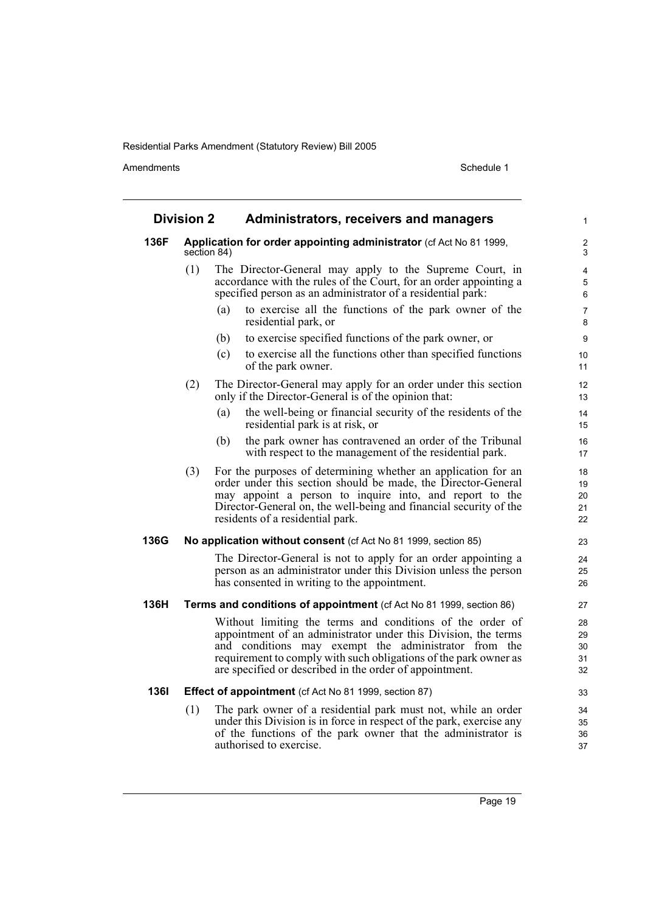| <b>Division 2</b> |     | Administrators, receivers and managers                                                                                                                                                                                                                                                                             |                            |
|-------------------|-----|--------------------------------------------------------------------------------------------------------------------------------------------------------------------------------------------------------------------------------------------------------------------------------------------------------------------|----------------------------|
| 136F              |     | Application for order appointing administrator (cf Act No 81 1999,<br>section 84)                                                                                                                                                                                                                                  | 2<br>3                     |
|                   | (1) | The Director-General may apply to the Supreme Court, in<br>accordance with the rules of the Court, for an order appointing a<br>specified person as an administrator of a residential park:                                                                                                                        | 4<br>5<br>6                |
|                   |     | to exercise all the functions of the park owner of the<br>(a)<br>residential park, or                                                                                                                                                                                                                              | $\overline{7}$<br>8        |
|                   |     | to exercise specified functions of the park owner, or<br>(b)                                                                                                                                                                                                                                                       | 9                          |
|                   |     | to exercise all the functions other than specified functions<br>(c)<br>of the park owner.                                                                                                                                                                                                                          | 10<br>11                   |
|                   | (2) | The Director-General may apply for an order under this section<br>only if the Director-General is of the opinion that:                                                                                                                                                                                             | 12<br>13                   |
|                   |     | the well-being or financial security of the residents of the<br>(a)<br>residential park is at risk, or                                                                                                                                                                                                             | 14<br>15                   |
|                   |     | the park owner has contravened an order of the Tribunal<br>(b)<br>with respect to the management of the residential park.                                                                                                                                                                                          | 16<br>17                   |
|                   | (3) | For the purposes of determining whether an application for an<br>order under this section should be made, the Director-General<br>may appoint a person to inquire into, and report to the<br>Director-General on, the well-being and financial security of the<br>residents of a residential park.                 | 18<br>19<br>20<br>21<br>22 |
| 136G              |     | No application without consent (cf Act No 81 1999, section 85)                                                                                                                                                                                                                                                     | 23                         |
|                   |     | The Director-General is not to apply for an order appointing a<br>person as an administrator under this Division unless the person<br>has consented in writing to the appointment.                                                                                                                                 | 24<br>25<br>26             |
| 136H              |     | Terms and conditions of appointment (cf Act No 81 1999, section 86)                                                                                                                                                                                                                                                | 27                         |
|                   |     | Without limiting the terms and conditions of the order of<br>appointment of an administrator under this Division, the terms<br>and conditions may exempt the administrator from the<br>requirement to comply with such obligations of the park owner as<br>are specified or described in the order of appointment. | 28<br>29<br>30<br>31<br>32 |
| 136I              |     | <b>Effect of appointment</b> (cf Act No 81 1999, section 87)                                                                                                                                                                                                                                                       | 33                         |
|                   | (1) | The park owner of a residential park must not, while an order<br>under this Division is in force in respect of the park, exercise any<br>of the functions of the park owner that the administrator is<br>authorised to exercise.                                                                                   | 34<br>35<br>36<br>37       |
|                   |     |                                                                                                                                                                                                                                                                                                                    |                            |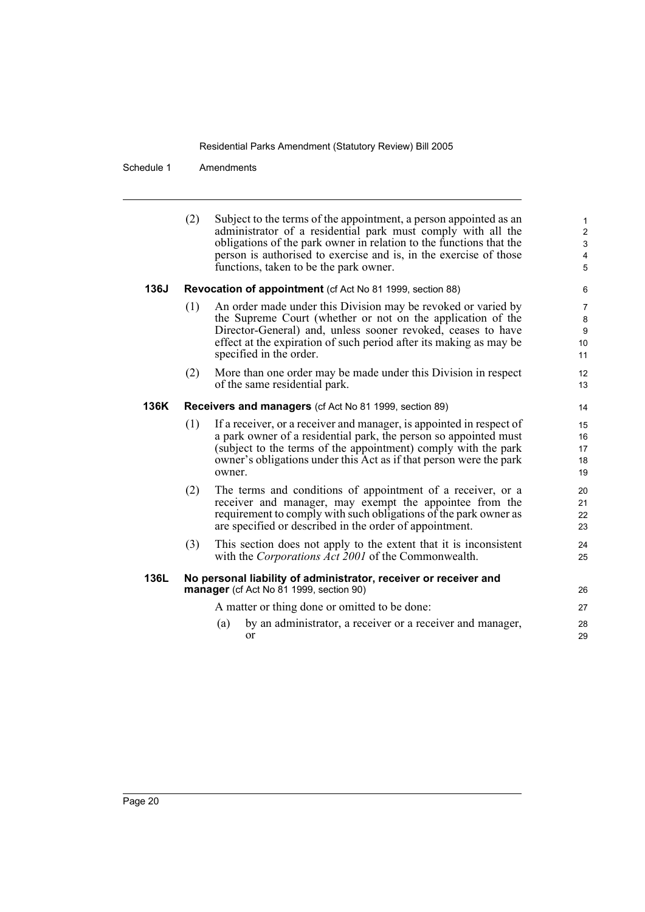|      | (2) | Subject to the terms of the appointment, a person appointed as an<br>administrator of a residential park must comply with all the<br>obligations of the park owner in relation to the functions that the<br>person is authorised to exercise and is, in the exercise of those<br>functions, taken to be the park owner. | $\mathbf{1}$<br>$\overline{2}$<br>$\mathbf{3}$<br>$\overline{\mathbf{4}}$<br>5 |
|------|-----|-------------------------------------------------------------------------------------------------------------------------------------------------------------------------------------------------------------------------------------------------------------------------------------------------------------------------|--------------------------------------------------------------------------------|
| 136J |     | Revocation of appointment (cf Act No 81 1999, section 88)                                                                                                                                                                                                                                                               | 6                                                                              |
|      | (1) | An order made under this Division may be revoked or varied by<br>the Supreme Court (whether or not on the application of the<br>Director-General) and, unless sooner revoked, ceases to have<br>effect at the expiration of such period after its making as may be<br>specified in the order.                           | $\overline{7}$<br>8<br>9<br>10<br>11                                           |
|      | (2) | More than one order may be made under this Division in respect<br>of the same residential park.                                                                                                                                                                                                                         | 12<br>13                                                                       |
| 136K |     | <b>Receivers and managers</b> (cf Act No 81 1999, section 89)                                                                                                                                                                                                                                                           | 14                                                                             |
|      | (1) | If a receiver, or a receiver and manager, is appointed in respect of<br>a park owner of a residential park, the person so appointed must<br>(subject to the terms of the appointment) comply with the park<br>owner's obligations under this Act as if that person were the park<br>owner.                              | 15<br>16<br>17<br>18<br>19                                                     |
|      | (2) | The terms and conditions of appointment of a receiver, or a<br>receiver and manager, may exempt the appointee from the<br>requirement to comply with such obligations of the park owner as<br>are specified or described in the order of appointment.                                                                   | 20<br>21<br>22<br>23                                                           |
|      | (3) | This section does not apply to the extent that it is inconsistent<br>with the <i>Corporations Act 2001</i> of the Commonwealth.                                                                                                                                                                                         | 24<br>25                                                                       |
| 136L |     | No personal liability of administrator, receiver or receiver and<br>manager (cf Act No 81 1999, section 90)                                                                                                                                                                                                             | 26                                                                             |
|      |     | A matter or thing done or omitted to be done:                                                                                                                                                                                                                                                                           | 27                                                                             |
|      |     | by an administrator, a receiver or a receiver and manager,<br>(a)<br>or                                                                                                                                                                                                                                                 | 28<br>29                                                                       |
|      |     |                                                                                                                                                                                                                                                                                                                         |                                                                                |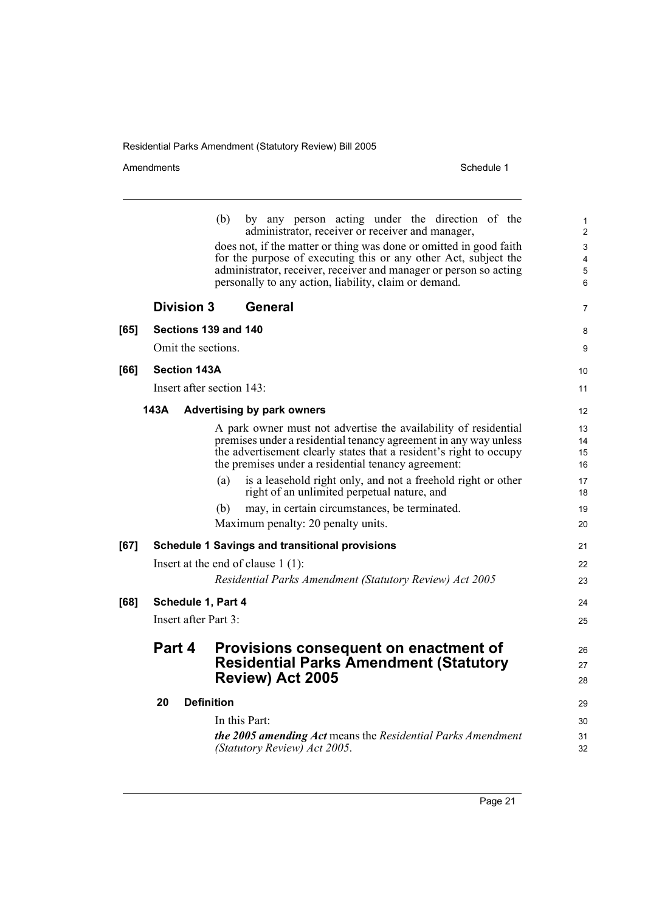|      |                      | by any person acting under the direction of the<br>(b)<br>administrator, receiver or receiver and manager,<br>does not, if the matter or thing was done or omitted in good faith<br>for the purpose of executing this or any other Act, subject the<br>administrator, receiver, receiver and manager or person so acting<br>personally to any action, liability, claim or demand.      | $\mathbf{1}$<br>$\overline{2}$<br>3<br>4<br>5<br>6 |
|------|----------------------|----------------------------------------------------------------------------------------------------------------------------------------------------------------------------------------------------------------------------------------------------------------------------------------------------------------------------------------------------------------------------------------|----------------------------------------------------|
|      | <b>Division 3</b>    | <b>General</b>                                                                                                                                                                                                                                                                                                                                                                         | 7                                                  |
| [65] |                      | Sections 139 and 140                                                                                                                                                                                                                                                                                                                                                                   | 8                                                  |
|      | Omit the sections.   |                                                                                                                                                                                                                                                                                                                                                                                        | 9                                                  |
| [66] | <b>Section 143A</b>  |                                                                                                                                                                                                                                                                                                                                                                                        | 10                                                 |
|      |                      | Insert after section 143:                                                                                                                                                                                                                                                                                                                                                              | 11                                                 |
|      | 143A                 | <b>Advertising by park owners</b>                                                                                                                                                                                                                                                                                                                                                      | 12                                                 |
|      |                      | A park owner must not advertise the availability of residential<br>premises under a residential tenancy agreement in any way unless<br>the advertisement clearly states that a resident's right to occupy<br>the premises under a residential tenancy agreement:<br>is a leasehold right only, and not a freehold right or other<br>(a)<br>right of an unlimited perpetual nature, and | 13<br>14<br>15<br>16<br>17<br>18                   |
|      |                      | (b)<br>may, in certain circumstances, be terminated.<br>Maximum penalty: 20 penalty units.                                                                                                                                                                                                                                                                                             | 19<br>20                                           |
| [67] |                      | <b>Schedule 1 Savings and transitional provisions</b>                                                                                                                                                                                                                                                                                                                                  | 21                                                 |
|      |                      | Insert at the end of clause $1(1)$ :<br>Residential Parks Amendment (Statutory Review) Act 2005                                                                                                                                                                                                                                                                                        | 22<br>23                                           |
| [68] | Schedule 1, Part 4   |                                                                                                                                                                                                                                                                                                                                                                                        | 24                                                 |
|      | Insert after Part 3: |                                                                                                                                                                                                                                                                                                                                                                                        | 25                                                 |
|      | Part 4               | Provisions consequent on enactment of<br><b>Residential Parks Amendment (Statutory</b><br><b>Review) Act 2005</b>                                                                                                                                                                                                                                                                      | 26<br>27<br>28                                     |
|      | 20                   | <b>Definition</b>                                                                                                                                                                                                                                                                                                                                                                      | 29                                                 |
|      |                      | In this Part:<br><b>the 2005 amending Act means the Residential Parks Amendment</b><br>(Statutory Review) Act 2005.                                                                                                                                                                                                                                                                    | 30<br>31<br>32                                     |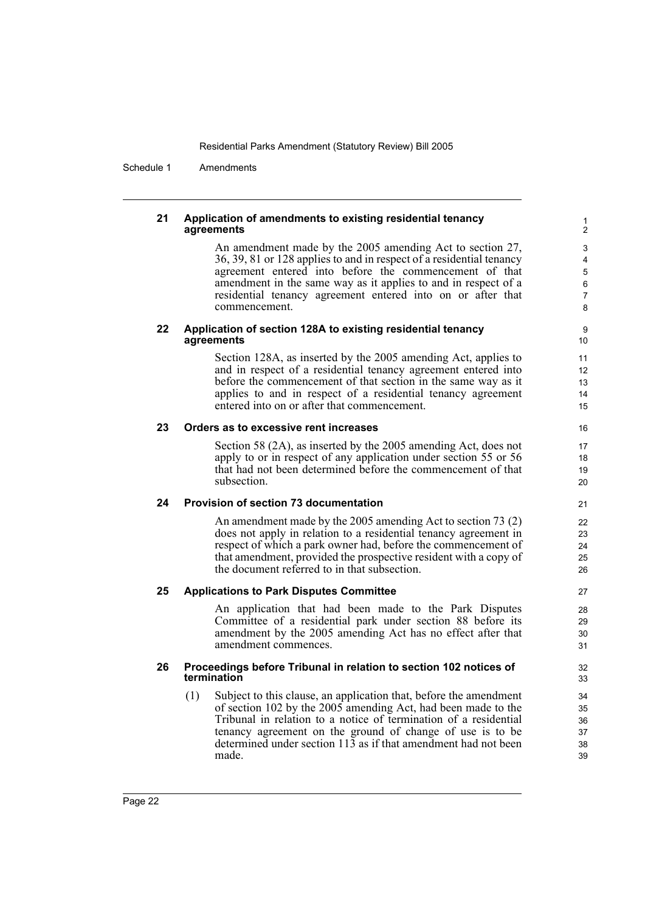Schedule 1 Amendments

#### **21 Application of amendments to existing residential tenancy agreements**

An amendment made by the 2005 amending Act to section 27, 36, 39, 81 or 128 applies to and in respect of a residential tenancy agreement entered into before the commencement of that amendment in the same way as it applies to and in respect of a residential tenancy agreement entered into on or after that commencement.

#### **22 Application of section 128A to existing residential tenancy agreements**

Section 128A, as inserted by the 2005 amending Act, applies to and in respect of a residential tenancy agreement entered into before the commencement of that section in the same way as it applies to and in respect of a residential tenancy agreement entered into on or after that commencement.

#### **23 Orders as to excessive rent increases**

Section 58 (2A), as inserted by the 2005 amending Act, does not apply to or in respect of any application under section 55 or 56 that had not been determined before the commencement of that subsection.

#### **24 Provision of section 73 documentation**

An amendment made by the 2005 amending Act to section 73 (2) does not apply in relation to a residential tenancy agreement in respect of which a park owner had, before the commencement of that amendment, provided the prospective resident with a copy of the document referred to in that subsection.

#### **25 Applications to Park Disputes Committee**

An application that had been made to the Park Disputes Committee of a residential park under section 88 before its amendment by the 2005 amending Act has no effect after that amendment commences.

#### **26 Proceedings before Tribunal in relation to section 102 notices of termination**

(1) Subject to this clause, an application that, before the amendment of section 102 by the 2005 amending Act, had been made to the Tribunal in relation to a notice of termination of a residential tenancy agreement on the ground of change of use is to be determined under section 113 as if that amendment had not been made.